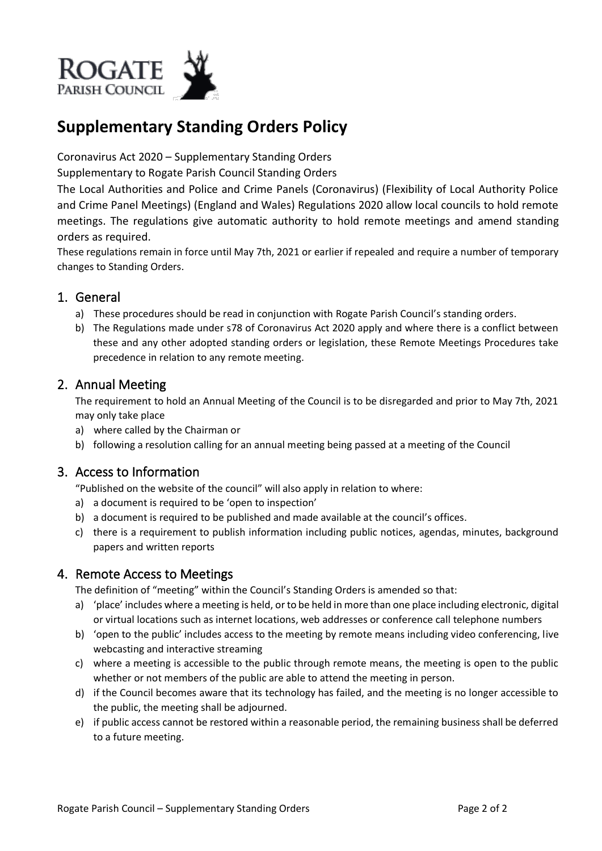

# **Supplementary Standing Orders Policy**

Coronavirus Act 2020 – Supplementary Standing Orders

Supplementary to Rogate Parish Council Standing Orders

The Local Authorities and Police and Crime Panels (Coronavirus) (Flexibility of Local Authority Police and Crime Panel Meetings) (England and Wales) Regulations 2020 allow local councils to hold remote meetings. The regulations give automatic authority to hold remote meetings and amend standing orders as required.

These regulations remain in force until May 7th, 2021 or earlier if repealed and require a number of temporary changes to Standing Orders.

# 1. General

- a) These procedures should be read in conjunction with Rogate Parish Council's standing orders.
- b) The Regulations made under s78 of Coronavirus Act 2020 apply and where there is a conflict between these and any other adopted standing orders or legislation, these Remote Meetings Procedures take precedence in relation to any remote meeting.

# 2. Annual Meeting

The requirement to hold an Annual Meeting of the Council is to be disregarded and prior to May 7th, 2021 may only take place

- a) where called by the Chairman or
- b) following a resolution calling for an annual meeting being passed at a meeting of the Council

# 3. Access to Information

"Published on the website of the council" will also apply in relation to where:

- a) a document is required to be 'open to inspection'
- b) a document is required to be published and made available at the council's offices.
- c) there is a requirement to publish information including public notices, agendas, minutes, background papers and written reports

# 4. Remote Access to Meetings

The definition of "meeting" within the Council's Standing Orders is amended so that:

- a) 'place' includes where a meeting is held, or to be held in more than one place including electronic, digital or virtual locations such as internet locations, web addresses or conference call telephone numbers
- b) 'open to the public' includes access to the meeting by remote means including video conferencing, live webcasting and interactive streaming
- c) where a meeting is accessible to the public through remote means, the meeting is open to the public whether or not members of the public are able to attend the meeting in person.
- d) if the Council becomes aware that its technology has failed, and the meeting is no longer accessible to the public, the meeting shall be adjourned.
- e) if public access cannot be restored within a reasonable period, the remaining business shall be deferred to a future meeting.